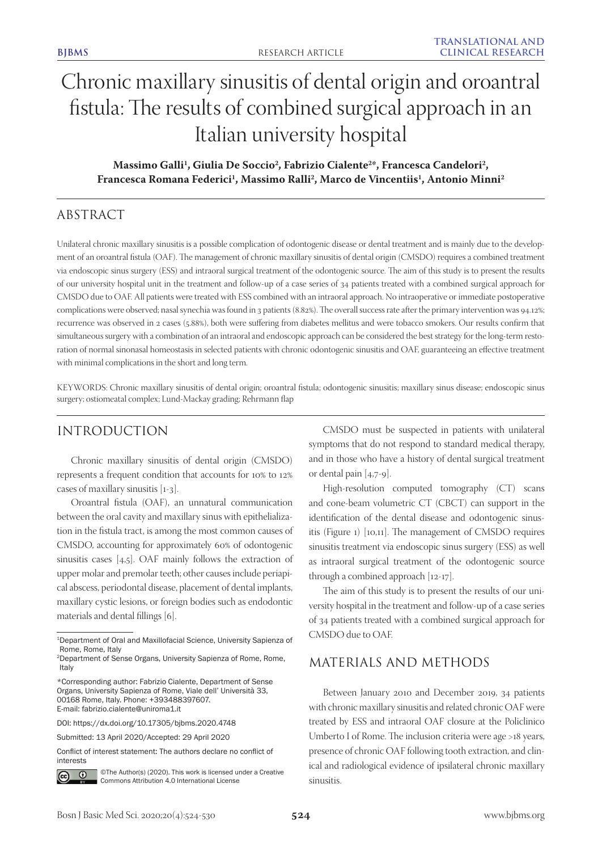# Chronic maxillary sinusitis of dental origin and oroantral fistula: The results of combined surgical approach in an Italian university hospital

# Massimo Galli<sup>1</sup>, Giulia De Soccio<sup>2</sup>, Fabrizio Cialente<sup>2\*</sup>, Francesca Candelori<sup>2</sup>, Francesca Romana Federici<sup>1</sup>, Massimo Ralli<sup>2</sup>, Marco de Vincentiis<sup>1</sup>, Antonio Minni<sup>2</sup>

# ABSTRACT

Unilateral chronic maxillary sinusitis is a possible complication of odontogenic disease or dental treatment and is mainly due to the development of an oroantral fistula (OAF). The management of chronic maxillary sinusitis of dental origin (CMSDO) requires a combined treatment via endoscopic sinus surgery (ESS) and intraoral surgical treatment of the odontogenic source. The aim of this study is to present the results of our university hospital unit in the treatment and follow-up of a case series of 34 patients treated with a combined surgical approach for CMSDO due to OAF. All patients were treated with ESS combined with an intraoral approach. No intraoperative or immediate postoperative complications were observed; nasal synechia was found in 3 patients (8.82%). The overall success rate after the primary intervention was 94.12%; recurrence was observed in 2 cases (5.88%), both were suffering from diabetes mellitus and were tobacco smokers. Our results confirm that simultaneous surgery with a combination of an intraoral and endoscopic approach can be considered the best strategy for the long-term restoration of normal sinonasal homeostasis in selected patients with chronic odontogenic sinusitis and OAF, guaranteeing an effective treatment with minimal complications in the short and long term.

KEYWORDS: Chronic maxillary sinusitis of dental origin; oroantral fistula; odontogenic sinusitis; maxillary sinus disease; endoscopic sinus surgery; ostiomeatal complex; Lund-Mackay grading; Rehrmann flap

# INTRODUCTION

Chronic maxillary sinusitis of dental origin (CMSDO) represents a frequent condition that accounts for 10% to 12% cases of maxillary sinusitis [1-3].

Oroantral fistula (OAF), an unnatural communication between the oral cavity and maxillary sinus with epithelialization in the fistula tract, is among the most common causes of CMSDO, accounting for approximately 60% of odontogenic sinusitis cases [4,5]. OAF mainly follows the extraction of upper molar and premolar teeth; other causes include periapical abscess, periodontal disease, placement of dental implants, maxillary cystic lesions, or foreign bodies such as endodontic materials and dental fillings [6].

Conflict of interest statement: The authors declare no conflict of interests



©The Author(s) (2020). This work is licensed under a Creative Commons Attribution 4.0 International License

CMSDO must be suspected in patients with unilateral symptoms that do not respond to standard medical therapy, and in those who have a history of dental surgical treatment or dental pain [4,7-9].

High-resolution computed tomography (CT) scans and cone-beam volumetric CT (CBCT) can support in the identification of the dental disease and odontogenic sinusitis (Figure 1) [10,11]. The management of CMSDO requires sinusitis treatment via endoscopic sinus surgery (ESS) as well as intraoral surgical treatment of the odontogenic source through a combined approach [12-17].

The aim of this study is to present the results of our university hospital in the treatment and follow-up of a case series of 34 patients treated with a combined surgical approach for CMSDO due to OAF.

# MATERIALS AND METHODS

Between January 2010 and December 2019, 34 patients with chronic maxillary sinusitis and related chronic OAF were treated by ESS and intraoral OAF closure at the Policlinico Umberto I of Rome. The inclusion criteria were age >18 years, presence of chronic OAF following tooth extraction, and clinical and radiological evidence of ipsilateral chronic maxillary sinusitis.

<sup>&</sup>lt;sup>1</sup>Department of Oral and Maxillofacial Science, University Sapienza of Rome, Rome, Italy

<sup>2</sup>Department of Sense Organs, University Sapienza of Rome, Rome, Italy

<sup>\*</sup>Corresponding author: Fabrizio Cialente, Department of Sense Organs, University Sapienza of Rome, Viale dell' Università 33, 00168 Rome, Italy. Phone: +393488397607. E-mail: fabrizio.cialente@uniroma1.it

DOI: https://dx.doi.org/10.17305/bjbms.2020.4748

Submitted: 13 April 2020/Accepted: 29 April 2020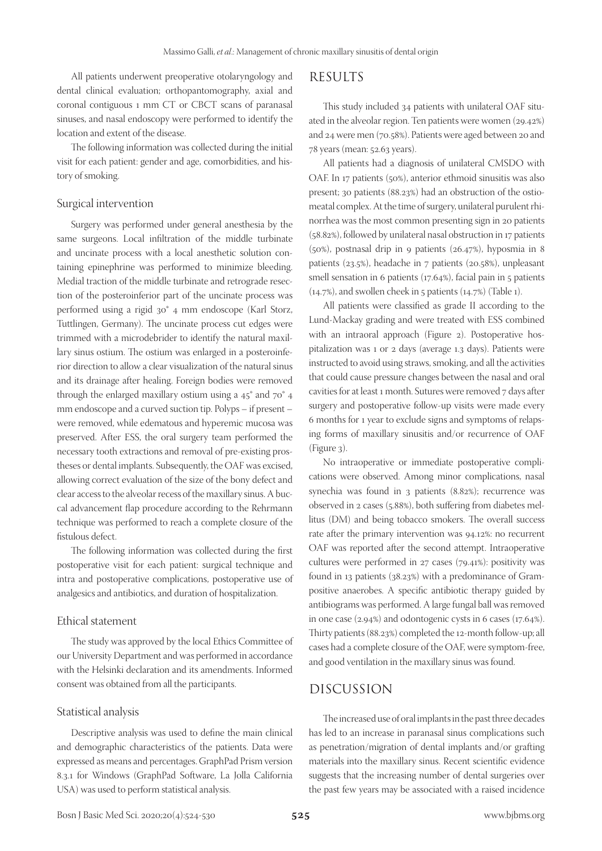All patients underwent preoperative otolaryngology and dental clinical evaluation; orthopantomography, axial and coronal contiguous 1 mm CT or CBCT scans of paranasal sinuses, and nasal endoscopy were performed to identify the location and extent of the disease.

The following information was collected during the initial visit for each patient: gender and age, comorbidities, and history of smoking.

#### Surgical intervention

Surgery was performed under general anesthesia by the same surgeons. Local infiltration of the middle turbinate and uncinate process with a local anesthetic solution containing epinephrine was performed to minimize bleeding. Medial traction of the middle turbinate and retrograde resection of the posteroinferior part of the uncinate process was performed using a rigid 30° 4 mm endoscope (Karl Storz, Tuttlingen, Germany). The uncinate process cut edges were trimmed with a microdebrider to identify the natural maxillary sinus ostium. The ostium was enlarged in a posteroinferior direction to allow a clear visualization of the natural sinus and its drainage after healing. Foreign bodies were removed through the enlarged maxillary ostium using a 45° and 70° 4 mm endoscope and a curved suction tip. Polyps – if present – were removed, while edematous and hyperemic mucosa was preserved. After ESS, the oral surgery team performed the necessary tooth extractions and removal of pre-existing prostheses or dental implants. Subsequently, the OAF was excised, allowing correct evaluation of the size of the bony defect and clear access to the alveolar recess of the maxillary sinus. A buccal advancement flap procedure according to the Rehrmann technique was performed to reach a complete closure of the fistulous defect.

The following information was collected during the first postoperative visit for each patient: surgical technique and intra and postoperative complications, postoperative use of analgesics and antibiotics, and duration of hospitalization.

#### Ethical statement

The study was approved by the local Ethics Committee of our University Department and was performed in accordance with the Helsinki declaration and its amendments. Informed consent was obtained from all the participants.

#### Statistical analysis

Descriptive analysis was used to define the main clinical and demographic characteristics of the patients. Data were expressed as means and percentages. GraphPad Prism version 8.3.1 for Windows (GraphPad Software, La Jolla California USA) was used to perform statistical analysis.

## RESULTS

This study included 34 patients with unilateral OAF situated in the alveolar region. Ten patients were women (29.42%) and 24 were men (70.58%). Patients were aged between 20 and 78 years (mean: 52.63 years).

All patients had a diagnosis of unilateral CMSDO with OAF. In 17 patients (50%), anterior ethmoid sinusitis was also present; 30 patients (88.23%) had an obstruction of the ostiomeatal complex. At the time of surgery, unilateral purulent rhinorrhea was the most common presenting sign in 20 patients (58.82%), followed by unilateral nasal obstruction in 17 patients (50%), postnasal drip in 9 patients (26.47%), hyposmia in 8 patients (23.5%), headache in 7 patients (20.58%), unpleasant smell sensation in 6 patients (17.64%), facial pain in 5 patients (14.7%), and swollen cheek in 5 patients (14.7%) (Table 1).

All patients were classified as grade II according to the Lund-Mackay grading and were treated with ESS combined with an intraoral approach (Figure 2). Postoperative hospitalization was 1 or 2 days (average 1.3 days). Patients were instructed to avoid using straws, smoking, and all the activities that could cause pressure changes between the nasal and oral cavities for at least 1 month. Sutures were removed 7 days after surgery and postoperative follow-up visits were made every 6 months for 1 year to exclude signs and symptoms of relapsing forms of maxillary sinusitis and/or recurrence of OAF (Figure 3).

No intraoperative or immediate postoperative complications were observed. Among minor complications, nasal synechia was found in 3 patients (8.82%); recurrence was observed in 2 cases (5.88%), both suffering from diabetes mellitus (DM) and being tobacco smokers. The overall success rate after the primary intervention was 94.12%: no recurrent OAF was reported after the second attempt. Intraoperative cultures were performed in 27 cases (79.41%): positivity was found in 13 patients (38.23%) with a predominance of Grampositive anaerobes. A specific antibiotic therapy guided by antibiograms was performed. A large fungal ball was removed in one case (2.94%) and odontogenic cysts in 6 cases (17.64%). Thirty patients (88.23%) completed the 12-month follow-up; all cases had a complete closure of the OAF, were symptom-free, and good ventilation in the maxillary sinus was found.

### DISCUSSION

The increased use of oral implants in the past three decades has led to an increase in paranasal sinus complications such as penetration/migration of dental implants and/or grafting materials into the maxillary sinus. Recent scientific evidence suggests that the increasing number of dental surgeries over the past few years may be associated with a raised incidence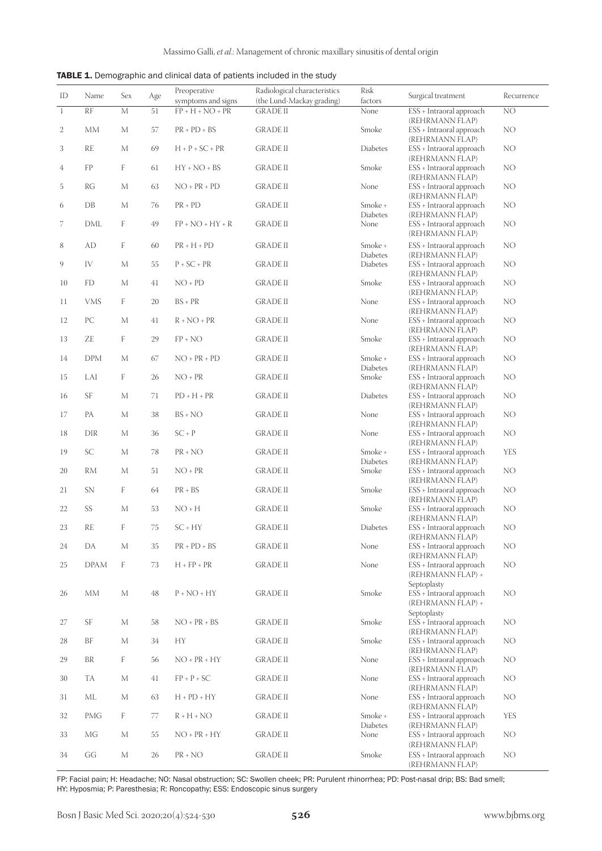| TABLE 1. Demographic and clinical data of patients included in the study |  |  |  |  |
|--------------------------------------------------------------------------|--|--|--|--|
|--------------------------------------------------------------------------|--|--|--|--|

| ID           | Name            | Sex         | Age | Preoperative<br>symptoms and signs | Radiological characteristics<br>(the Lund-Mackay grading) | Risk<br>factors            | Surgical treatment                                           | Recurrence |
|--------------|-----------------|-------------|-----|------------------------------------|-----------------------------------------------------------|----------------------------|--------------------------------------------------------------|------------|
| $\mathbf{1}$ | $\overline{RF}$ | $\mathbf M$ | 51  | $FP + H + NO + PR$                 | <b>GRADE II</b>                                           | None                       | ESS + Intraoral approach<br>(REHRMANN FLAP)                  | NO         |
| 2            | МM              | М           | 57  | $PR + PD + BS$                     | <b>GRADE II</b>                                           | Smoke                      | ESS + Intraoral approach<br>(REHRMANN FLAP)                  | NO         |
| 3            | <b>RE</b>       | $\mathbf M$ | 69  | $H + P + SC + PR$                  | <b>GRADE II</b>                                           | Diabetes                   | ESS + Intraoral approach<br>(REHRMANN FLAP)                  | NO         |
| 4            | ${\rm FP}$      | F           | 61  | $HY + NO + BS$                     | <b>GRADE II</b>                                           | Smoke                      | ESS + Intraoral approach<br>(REHRMANN FLAP)                  | NO         |
| 5            | RG              | М           | 63  | $NO + PR + PD$                     | <b>GRADE II</b>                                           | None                       | ESS + Intraoral approach<br>(REHRMANN FLAP)                  | NO         |
| 6            | DB              | $\mathbf M$ | 76  | $PR + PD$                          | <b>GRADE II</b>                                           | Smoke +<br>Diabetes        | ESS + Intraoral approach<br>(REHRMANN FLAP)                  | NO         |
| 7            | DML             | F           | 49  | $FP + NO + HY + R$                 | <b>GRADE II</b>                                           | None                       | ESS + Intraoral approach<br>(REHRMANN FLAP)                  | NO         |
| 8            | <b>AD</b>       | F           | 60  | $PR + H + PD$                      | <b>GRADE II</b>                                           | Smoke +<br>Diabetes        | ESS + Intraoral approach<br>(REHRMANN FLAP)                  | NO         |
| 9            | IV              | $\mathbf M$ | 55  | $P + SC + PR$                      | <b>GRADE II</b>                                           | Diabetes                   | ESS + Intraoral approach<br>(REHRMANN FLAP)                  | NO         |
| 10           | FD              | М           | 41  | $NO + PD$                          | <b>GRADE II</b>                                           | Smoke                      | ESS + Intraoral approach<br>(REHRMANN FLAP)                  | NO         |
| 11           | <b>VMS</b>      | F           | 20  | $BS + PR$                          | <b>GRADE II</b>                                           | None                       | ESS + Intraoral approach<br>(REHRMANN FLAP)                  | NO         |
| 12           | PC              | $\mathbf M$ | 41  | $R + NO + PR$                      | <b>GRADE II</b>                                           | None                       | ESS + Intraoral approach<br>(REHRMANN FLAP)                  | NO         |
| 13           | ZE              | F           | 29  | $FP + NO$                          | <b>GRADE II</b>                                           | Smoke                      | ESS + Intraoral approach<br>(REHRMANN FLAP)                  | NO         |
| 14           | <b>DPM</b>      | М           | 67  | $NO + PR + PD$                     | <b>GRADE II</b>                                           | Smoke +<br><b>Diabetes</b> | ESS + Intraoral approach<br>(REHRMANN FLAP)                  | NO         |
| 15           | LAI             | F           | 26  | $NO + PR$                          | <b>GRADE II</b>                                           | Smoke                      | ESS + Intraoral approach<br>(REHRMANN FLAP)                  | NO         |
| 16           | $\rm{SF}$       | М           | 71  | $PD + H + PR$                      | <b>GRADE II</b>                                           | Diabetes                   | ESS + Intraoral approach<br>(REHRMANN FLAP)                  | NO         |
| 17           | PA              | М           | 38  | $BS + NO$                          | <b>GRADE II</b>                                           | None                       | ESS + Intraoral approach<br>(REHRMANN FLAP)                  | NO         |
| 18           | DIR             | М           | 36  | $SC + P$                           | <b>GRADE II</b>                                           | None                       | ESS + Intraoral approach<br>(REHRMANN FLAP)                  | NO         |
| 19           | SC              | М           | 78  | $PR + NO$                          | <b>GRADE II</b>                                           | Smoke +<br>Diabetes        | ESS + Intraoral approach<br>(REHRMANN FLAP)                  | <b>YES</b> |
| 20           | <b>RM</b>       | М           | 51  | $NO + PR$                          | <b>GRADE II</b>                                           | Smoke                      | ESS + Intraoral approach<br>(REHRMANN FLAP)                  | NO         |
| 21           | SN              | F           | 64  | $PR + BS$                          | <b>GRADE II</b>                                           | Smoke                      | ESS + Intraoral approach<br>(REHRMANN FLAP)                  | NO         |
| 22           | SS              | М           | 53  | $NO + H$                           | <b>GRADE II</b>                                           | Smoke                      | ESS + Intraoral approach<br>(REHRMANN FLAP)                  | NO         |
| 23           | <b>RE</b>       | F           | 75  | $SC + HY$                          | <b>GRADE II</b>                                           | Diabetes                   | ESS + Intraoral approach<br>(REHRMANN FLAP)                  | NO         |
| 24           | DA              | М           | 35  | $PR + PD + BS$                     | <b>GRADE II</b>                                           | None                       | ESS + Intraoral approach<br>(REHRMANN FLAP)                  | NO         |
| 25           | <b>DPAM</b>     | F           | 73  | $H$ + $FP$ + $PR$                  | <b>GRADE II</b>                                           | None                       | ESS + Intraoral approach<br>(REHRMANN FLAP) +                | NO         |
| 26           | МM              | $\mathbf M$ | 48  | $P + NO + HY$                      | <b>GRADE II</b>                                           | Smoke                      | Septoplasty<br>ESS + Intraoral approach<br>(REHRMANN FLAP) + | NO         |
| 27           | $\rm{SF}$       | $\mathbf M$ | 58  | $NO + PR + BS$                     | <b>GRADE II</b>                                           | Smoke                      | Septoplasty<br>ESS + Intraoral approach<br>(REHRMANN FLAP)   | NO         |
| 28           | BF              | М           | 34  | HY                                 | <b>GRADE II</b>                                           | Smoke                      | ESS + Intraoral approach<br>(REHRMANN FLAP)                  | NO         |
| 29           | $\rm{BR}$       | F           | 56  | $NO$ + $PR$ + $HY$                 | <b>GRADE II</b>                                           | None                       | ESS + Intraoral approach<br>(REHRMANN FLAP)                  | NO         |
| 30           | TA              | $\mathbf M$ | 41  | $FP + P + SC$                      | <b>GRADE II</b>                                           | None                       | ESS + Intraoral approach<br>(REHRMANN FLAP)                  | NO         |
| 31           | МL              | М           | 63  | $H + PD + HY$                      | <b>GRADE II</b>                                           | None                       | ESS + Intraoral approach<br>(REHRMANN FLAP)                  | NO         |
| 32           | PMG             | F           | 77  | $R + H + NO$                       | <b>GRADE II</b>                                           | Smoke +<br>Diabetes        | ESS + Intraoral approach<br>(REHRMANN FLAP)                  | <b>YES</b> |
| 33           | МG              | М           | 55  | $NO + PR + HY$                     | <b>GRADE II</b>                                           | None                       | ESS + Intraoral approach<br>(REHRMANN FLAP)                  | NO         |
| 34           | GG              | $\mathbf M$ | 26  | $PR + NO$                          | <b>GRADE II</b>                                           | Smoke                      | ESS + Intraoral approach<br>(REHRMANN FLAP)                  | NO         |

FP: Facial pain; H: Headache; NO: Nasal obstruction; SC: Swollen cheek; PR: Purulent rhinorrhea; PD: Post-nasal drip; BS: Bad smell; HY: Hyposmia; P: Paresthesia; R: Roncopathy; ESS: Endoscopic sinus surgery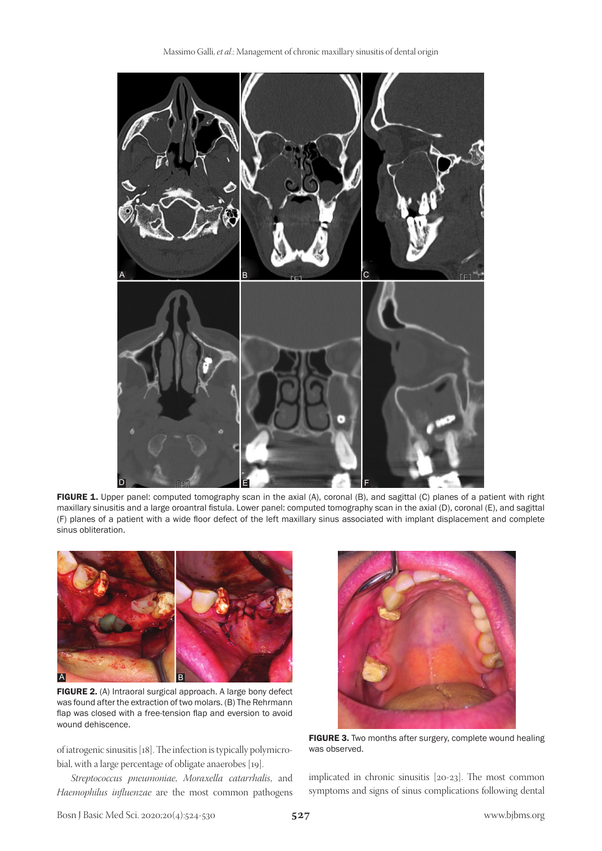

FIGURE 1. Upper panel: computed tomography scan in the axial (A), coronal (B), and sagittal (C) planes of a patient with right maxillary sinusitis and a large oroantral fistula. Lower panel: computed tomography scan in the axial (D), coronal (E), and sagittal (F) planes of a patient with a wide floor defect of the left maxillary sinus associated with implant displacement and complete sinus obliteration.



FIGURE 2. (A) Intraoral surgical approach. A large bony defect was found after the extraction of two molars. (B) The Rehrmann flap was closed with a free-tension flap and eversion to avoid wound dehiscence.

of iatrogenic sinusitis [18]. The infection is typically polymicrobial, with a large percentage of obligate anaerobes [19].

*Streptococcus pneumoniae*, *Moraxella catarrhalis*, and *Haemophilus influenzae* are the most common pathogens



FIGURE 3. Two months after surgery, complete wound healing was observed.

implicated in chronic sinusitis [20-23]. The most common symptoms and signs of sinus complications following dental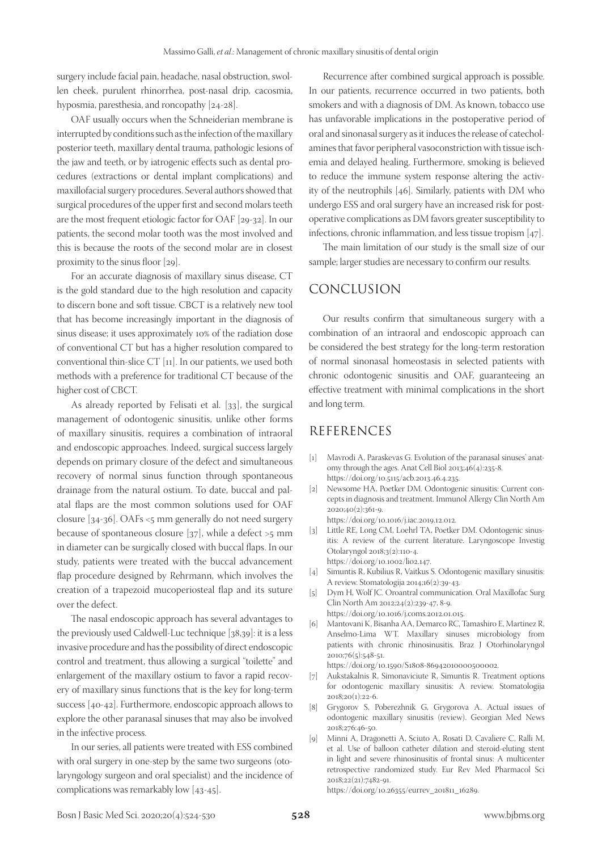surgery include facial pain, headache, nasal obstruction, swollen cheek, purulent rhinorrhea, post-nasal drip, cacosmia, hyposmia, paresthesia, and roncopathy [24-28].

OAF usually occurs when the Schneiderian membrane is interrupted by conditions such as the infection of the maxillary posterior teeth, maxillary dental trauma, pathologic lesions of the jaw and teeth, or by iatrogenic effects such as dental procedures (extractions or dental implant complications) and maxillofacial surgery procedures. Several authors showed that surgical procedures of the upper first and second molars teeth are the most frequent etiologic factor for OAF [29-32]. In our patients, the second molar tooth was the most involved and this is because the roots of the second molar are in closest proximity to the sinus floor [29].

For an accurate diagnosis of maxillary sinus disease, CT is the gold standard due to the high resolution and capacity to discern bone and soft tissue. CBCT is a relatively new tool that has become increasingly important in the diagnosis of sinus disease; it uses approximately 10% of the radiation dose of conventional CT but has a higher resolution compared to conventional thin-slice CT [11]. In our patients, we used both methods with a preference for traditional CT because of the higher cost of CBCT.

As already reported by Felisati et al. [33], the surgical management of odontogenic sinusitis, unlike other forms of maxillary sinusitis, requires a combination of intraoral and endoscopic approaches. Indeed, surgical success largely depends on primary closure of the defect and simultaneous recovery of normal sinus function through spontaneous drainage from the natural ostium. To date, buccal and palatal flaps are the most common solutions used for OAF closure [34-36]. OAFs <5 mm generally do not need surgery because of spontaneous closure  $[37]$ , while a defect  $>5$  mm in diameter can be surgically closed with buccal flaps. In our study, patients were treated with the buccal advancement flap procedure designed by Rehrmann, which involves the creation of a trapezoid mucoperiosteal flap and its suture over the defect.

The nasal endoscopic approach has several advantages to the previously used Caldwell-Luc technique [38,39]: it is a less invasive procedure and has the possibility of direct endoscopic control and treatment, thus allowing a surgical "toilette" and enlargement of the maxillary ostium to favor a rapid recovery of maxillary sinus functions that is the key for long-term success [40-42]. Furthermore, endoscopic approach allows to explore the other paranasal sinuses that may also be involved in the infective process.

In our series, all patients were treated with ESS combined with oral surgery in one-step by the same two surgeons (otolaryngology surgeon and oral specialist) and the incidence of complications was remarkably low [43-45].

Recurrence after combined surgical approach is possible. In our patients, recurrence occurred in two patients, both smokers and with a diagnosis of DM. As known, tobacco use has unfavorable implications in the postoperative period of oral and sinonasal surgery as it induces the release of catecholamines that favor peripheral vasoconstriction with tissue ischemia and delayed healing. Furthermore, smoking is believed to reduce the immune system response altering the activity of the neutrophils [46]. Similarly, patients with DM who undergo ESS and oral surgery have an increased risk for postoperative complications as DM favors greater susceptibility to infections, chronic inflammation, and less tissue tropism [47].

The main limitation of our study is the small size of our sample; larger studies are necessary to confirm our results.

## CONCLUSION

Our results confirm that simultaneous surgery with a combination of an intraoral and endoscopic approach can be considered the best strategy for the long-term restoration of normal sinonasal homeostasis in selected patients with chronic odontogenic sinusitis and OAF, guaranteeing an effective treatment with minimal complications in the short and long term.

#### REFERENCES

- [1] Mavrodi A, Paraskevas G. Evolution of the paranasal sinuses' anatomy through the ages. Anat Cell Biol 2013;46(4):235-8. https://doi.org/10.5115/acb.2013.46.4.235.
- [2] Newsome HA, Poetker DM. Odontogenic sinusitis: Current concepts in diagnosis and treatment. Immunol Allergy Clin North Am 2020;40(2):361-9. https://doi.org/10.1016/j.iac.2019.12.012.
- [3] Little RE, Long CM, Loehrl TA, Poetker DM. Odontogenic sinusitis: A review of the current literature. Laryngoscope Investig Otolaryngol 2018;3(2):110-4. https://doi.org/10.1002/lio2.147.
- [4] Simuntis R, Kubilius R, Vaitkus S. Odontogenic maxillary sinusitis: A review. Stomatologija 2014;16(2):39-43.
- [5] Dym H, Wolf JC. Oroantral communication. Oral Maxillofac Surg Clin North Am 2012;24(2):239-47, 8-9. https://doi.org/10.1016/j.coms.2012.01.015.
- [6] Mantovani K, Bisanha AA, Demarco RC, Tamashiro E, Martinez R, Anselmo-Lima WT. Maxillary sinuses microbiology from patients with chronic rhinosinusitis. Braz J Otorhinolaryngol 2010;76(5):548-51.

https://doi.org/10.1590/S1808-86942010000500002.

- [7] Aukstakalnis R, Simonaviciute R, Simuntis R. Treatment options for odontogenic maxillary sinusitis: A review. Stomatologija 2018;20(1):22-6.
- [8] Grygorov S, Poberezhnik G, Grygorova A. Actual issues of odontogenic maxillary sinusitis (review). Georgian Med News 2018;276:46-50.
- [9] Minni A, Dragonetti A, Sciuto A, Rosati D, Cavaliere C, Ralli M, et al. Use of balloon catheter dilation and steroid-eluting stent in light and severe rhinosinusitis of frontal sinus: A multicenter retrospective randomized study. Eur Rev Med Pharmacol Sci 2018;22(21):7482-91.

https://doi.org/10.26355/eurrev\_201811\_16289.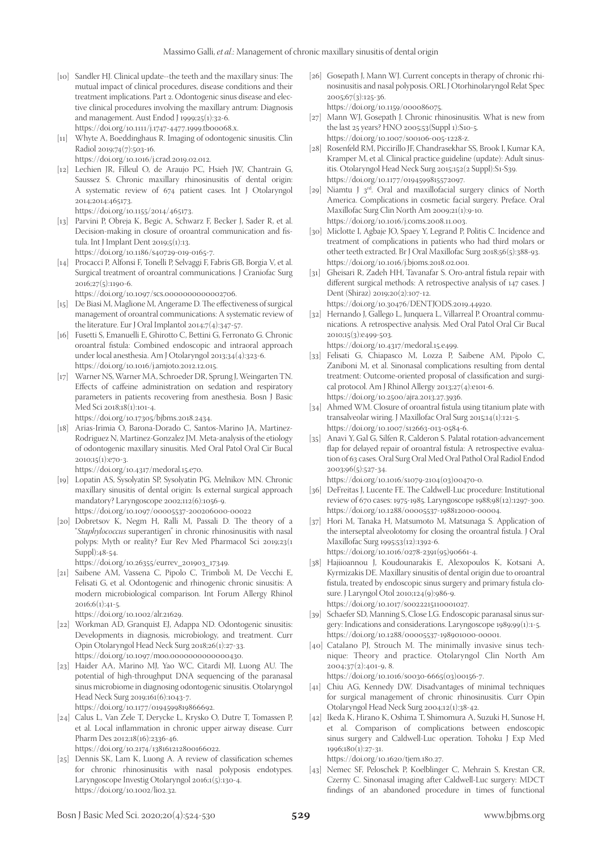- [10] Sandler HJ. Clinical update--the teeth and the maxillary sinus: The mutual impact of clinical procedures, disease conditions and their treatment implications. Part 2. Odontogenic sinus disease and elective clinical procedures involving the maxillary antrum: Diagnosis and management. Aust Endod J 1999;25(1):32-6. https://doi.org/10.1111/j.1747-4477.1999.tb00068.x.
- [11] Whyte A, Boeddinghaus R. Imaging of odontogenic sinusitis. Clin Radiol 2019;74(7):503-16.

https://doi.org/10.1016/j.crad.2019.02.012.

[12] Lechien JR, Filleul O, de Araujo PC, Hsieh JW, Chantrain G, Saussez S. Chronic maxillary rhinosinusitis of dental origin: A systematic review of 674 patient cases. Int J Otolaryngol 2014;2014:465173.

https://doi.org/10.1155/2014/465173.

[13] Parvini P, Obreja K, Begic A, Schwarz F, Becker J, Sader R, et al. Decision-making in closure of oroantral communication and fistula. Int J Implant Dent 2019;5(1):13. https://doi.org/10.1186/s40729-019-0165-7.

[14] Procacci P, Alfonsi F, Tonelli P, Selvaggi F, Fabris GB, Borgia V, et al. Surgical treatment of oroantral communications. J Craniofac Surg

- 2016;27(5):1190-6. https://doi.org/10.1097/scs.0000000000002706.
- [15] De Biasi M, Maglione M, Angerame D. The effectiveness of surgical management of oroantral communications: A systematic review of the literature. Eur J Oral Implantol 2014;7(4):347-57.
- [16] Fusetti S, Emanuelli E, Ghirotto C, Bettini G, Ferronato G. Chronic oroantral fistula: Combined endoscopic and intraoral approach under local anesthesia. Am J Otolaryngol 2013;34(4):323-6. https://doi.org/10.1016/j.amjoto.2012.12.015.
- [17] Warner NS, Warner MA, Schroeder DR, Sprung J, Weingarten TN. Effects of caffeine administration on sedation and respiratory parameters in patients recovering from anesthesia. Bosn J Basic Med Sci 2018;18(1):101-4.

https://doi.org/10.17305/bjbms.2018.2434.

[18] Arias-Irimia O, Barona-Dorado C, Santos-Marino JA, Martinez-Rodriguez N, Martinez-Gonzalez JM. Meta-analysis of the etiology of odontogenic maxillary sinusitis. Med Oral Patol Oral Cir Bucal 2010;15(1):e70-3.

https://doi.org/10.4317/medoral.15.e70.

- [19] Lopatin AS, Sysolyatin SP, Sysolyatin PG, Melnikov MN. Chronic maxillary sinusitis of dental origin: Is external surgical approach mandatory? Laryngoscope 2002;112(6):1056-9. https://doi.org/10.1097/00005537-200206000-00022
- [20] Dobretsov K, Negm H, Ralli M, Passali D. The theory of a "*Staphylococcus* superantigen" in chronic rhinosinusitis with nasal polyps: Myth or reality? Eur Rev Med Pharmacol Sci 2019;23(1 Suppl):48-54.

https://doi.org/10.26355/eurrev\_201903\_17349.

[21] Saibene AM, Vassena C, Pipolo C, Trimboli M, De Vecchi E, Felisati G, et al. Odontogenic and rhinogenic chronic sinusitis: A modern microbiological comparison. Int Forum Allergy Rhinol 2016;6(1):41-5.

https://doi.org/10.1002/alr.21629.

- [22] Workman AD, Granquist EJ, Adappa ND. Odontogenic sinusitis: Developments in diagnosis, microbiology, and treatment. Curr Opin Otolaryngol Head Neck Surg 2018;26(1):27-33. https://doi.org/10.1097/moo.0000000000000430.
- [23] Haider AA, Marino MJ, Yao WC, Citardi MJ, Luong AU. The potential of high-throughput DNA sequencing of the paranasal sinus microbiome in diagnosing odontogenic sinusitis. Otolaryngol Head Neck Surg 2019;161(6):1043-7. https://doi.org/10.1177/0194599819866692.

[24] Calus L, Van Zele T, Derycke L, Krysko O, Dutre T, Tomassen P, et al. Local inflammation in chronic upper airway disease. Curr Pharm Des 2012;18(16):2336-46. https://doi.org/10.2174/138161212800166022.

[25] Dennis SK, Lam K, Luong A. A review of classification schemes for chronic rhinosinusitis with nasal polyposis endotypes. Laryngoscope Investig Otolaryngol 2016;1(5):130-4.

https://doi.org/10.1002/lio2.32.

- [26] Gosepath J, Mann WJ. Current concepts in therapy of chronic rhinosinusitis and nasal polyposis. ORL J Otorhinolaryngol Relat Spec 2005;67(3):125-36. https://doi.org/10.1159/000086075.
- [27] Mann WJ, Gosepath J. Chronic rhinosinusitis. What is new from the last 25 years? HNO 2005;53(Suppl 1):S10-5. https://doi.org/10.1007/s00106-005-1228-z.
- [28] Rosenfeld RM, Piccirillo JF, Chandrasekhar SS, Brook I, Kumar KA, Kramper M, et al. Clinical practice guideline (update): Adult sinusitis. Otolaryngol Head Neck Surg 2015;152(2 Suppl):S1-S39. https://doi.org/10.1177/0194599815572097.
- [29] Niamtu J  $3<sup>rd</sup>$ . Oral and maxillofacial surgery clinics of North America. Complications in cosmetic facial surgery. Preface. Oral Maxillofac Surg Clin North Am 2009;21(1):9-10. https://doi.org/10.1016/j.coms.2008.11.003.
- [30] Miclotte I, Agbaje JO, Spaey Y, Legrand P, Politis C. Incidence and treatment of complications in patients who had third molars or other teeth extracted. Br J Oral Maxillofac Surg 2018;56(5):388-93. https://doi.org/10.1016/j.bjoms.2018.02.001.
- [31] Gheisari R, Zadeh HH, Tavanafar S. Oro-antral fistula repair with different surgical methods: A retrospective analysis of 147 cases. J Dent (Shiraz) 2019;20(2):107-12. https://doi.org/10.30476/DENTJODS.2019.44920.
- [32] Hernando J, Gallego L, Junquera L, Villarreal P. Oroantral communications. A retrospective analysis. Med Oral Patol Oral Cir Bucal 2010;15(3):e499-503.

https://doi.org/10.4317/medoral.15.e499.

- [33] Felisati G, Chiapasco M, Lozza P, Saibene AM, Pipolo C, Zaniboni M, et al. Sinonasal complications resulting from dental treatment: Outcome-oriented proposal of classification and surgical protocol. Am J Rhinol Allergy 2013;27(4):e101-6. https://doi.org/10.2500/ajra.2013.27.3936.
- [34] Ahmed WM. Closure of oroantral fistula using titanium plate with transalveolar wiring. J Maxillofac Oral Surg 2015;14(1):121-5. https://doi.org/10.1007/s12663-013-0584-6.
- [35] Anavi Y, Gal G, Silfen R, Calderon S. Palatal rotation-advancement flap for delayed repair of oroantral fistula: A retrospective evaluation of 63 cases. Oral Surg Oral Med Oral Pathol Oral Radiol Endod 2003;96(5):527-34.

https://doi.org/10.1016/s1079-2104(03)00470-0.

- [36] DeFreitas J, Lucente FE. The Caldwell-Luc procedure: Institutional review of 670 cases: 1975-1985. Laryngoscope 1988;98(12):1297-300. https://doi.org/10.1288/00005537-198812000-00004.
- [37] Hori M, Tanaka H, Matsumoto M, Matsunaga S. Application of the interseptal alveolotomy for closing the oroantral fistula. J Oral Maxillofac Surg 1995;53(12):1392-6. https://doi.org/10.1016/0278-2391(95)90661-4.
- [38] Hajiioannou J, Koudounarakis E, Alexopoulos K, Kotsani A, Kyrmizakis DE. Maxillary sinusitis of dental origin due to oroantral fistula, treated by endoscopic sinus surgery and primary fistula closure. J Laryngol Otol 2010;124(9):986-9. https://doi.org/10.1017/s0022215110001027.
- [39] Schaefer SD, Manning S, Close LG. Endoscopic paranasal sinus surgery: Indications and considerations. Laryngoscope 1989;99(1):1-5. https://doi.org/10.1288/00005537-198901000-00001.
- [40] Catalano PJ, Strouch M. The minimally invasive sinus technique: Theory and practice. Otolaryngol Clin North Am 2004;37(2):401-9, 8.

https://doi.org/10.1016/s0030-6665(03)00156-7.

- [41] Chiu AG, Kennedy DW. Disadvantages of minimal techniques for surgical management of chronic rhinosinusitis. Curr Opin Otolaryngol Head Neck Surg 2004;12(1):38-42.
- [42] Ikeda K, Hirano K, Oshima T, Shimomura A, Suzuki H, Sunose H, et al. Comparison of complications between endoscopic sinus surgery and Caldwell-Luc operation. Tohoku J Exp Med 1996;180(1):27-31.

https://doi.org/10.1620/tjem.180.27.

[43] Nemec SF, Peloschek P, Koelblinger C, Mehrain S, Krestan CR, Czerny C. Sinonasal imaging after Caldwell-Luc surgery: MDCT findings of an abandoned procedure in times of functional